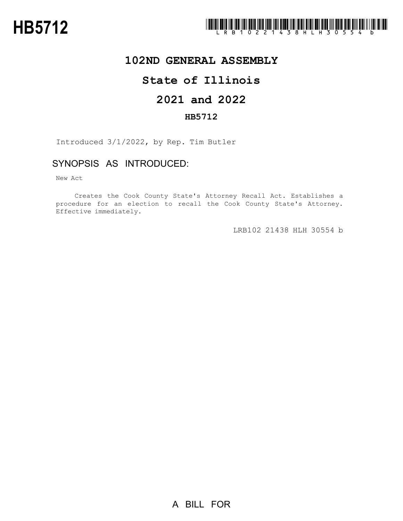

## **102ND GENERAL ASSEMBLY**

# **State of Illinois**

# **2021 and 2022**

### **HB5712**

Introduced 3/1/2022, by Rep. Tim Butler

## SYNOPSIS AS INTRODUCED:

New Act

Creates the Cook County State's Attorney Recall Act. Establishes a procedure for an election to recall the Cook County State's Attorney. Effective immediately.

LRB102 21438 HLH 30554 b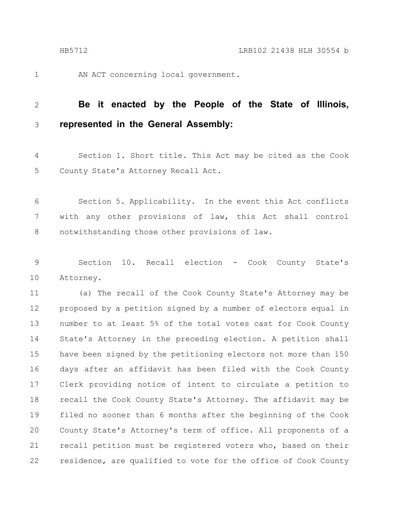AN ACT concerning local government. 1

#### **Be it enacted by the People of the State of Illinois, represented in the General Assembly:** 2 3

Section 1. Short title. This Act may be cited as the Cook County State's Attorney Recall Act. 4 5

Section 5. Applicability. In the event this Act conflicts with any other provisions of law, this Act shall control notwithstanding those other provisions of law. 6 7 8

Section 10. Recall election - Cook County State's Attorney. 9 10

(a) The recall of the Cook County State's Attorney may be proposed by a petition signed by a number of electors equal in number to at least 5% of the total votes cast for Cook County State's Attorney in the preceding election. A petition shall have been signed by the petitioning electors not more than 150 days after an affidavit has been filed with the Cook County Clerk providing notice of intent to circulate a petition to recall the Cook County State's Attorney. The affidavit may be filed no sooner than 6 months after the beginning of the Cook County State's Attorney's term of office. All proponents of a recall petition must be registered voters who, based on their residence, are qualified to vote for the office of Cook County 11 12 13 14 15 16 17 18 19 20 21 22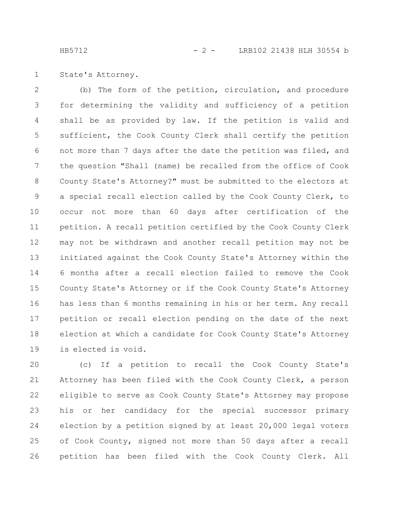HB5712 - 2 - LRB102 21438 HLH 30554 b

State's Attorney. 1

(b) The form of the petition, circulation, and procedure for determining the validity and sufficiency of a petition shall be as provided by law. If the petition is valid and sufficient, the Cook County Clerk shall certify the petition not more than 7 days after the date the petition was filed, and the question "Shall (name) be recalled from the office of Cook County State's Attorney?" must be submitted to the electors at a special recall election called by the Cook County Clerk, to occur not more than 60 days after certification of the petition. A recall petition certified by the Cook County Clerk may not be withdrawn and another recall petition may not be initiated against the Cook County State's Attorney within the 6 months after a recall election failed to remove the Cook County State's Attorney or if the Cook County State's Attorney has less than 6 months remaining in his or her term. Any recall petition or recall election pending on the date of the next election at which a candidate for Cook County State's Attorney is elected is void. 2 3 4 5 6 7 8 9 10 11 12 13 14 15 16 17 18 19

(c) If a petition to recall the Cook County State's Attorney has been filed with the Cook County Clerk, a person eligible to serve as Cook County State's Attorney may propose his or her candidacy for the special successor primary election by a petition signed by at least 20,000 legal voters of Cook County, signed not more than 50 days after a recall petition has been filed with the Cook County Clerk. All 20 21 22 23 24 25 26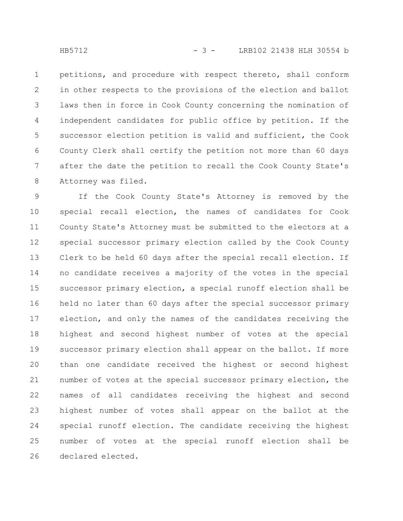petitions, and procedure with respect thereto, shall conform in other respects to the provisions of the election and ballot laws then in force in Cook County concerning the nomination of independent candidates for public office by petition. If the successor election petition is valid and sufficient, the Cook County Clerk shall certify the petition not more than 60 days after the date the petition to recall the Cook County State's Attorney was filed. 1 2 3 4 5 6 7 8

If the Cook County State's Attorney is removed by the special recall election, the names of candidates for Cook County State's Attorney must be submitted to the electors at a special successor primary election called by the Cook County Clerk to be held 60 days after the special recall election. If no candidate receives a majority of the votes in the special successor primary election, a special runoff election shall be held no later than 60 days after the special successor primary election, and only the names of the candidates receiving the highest and second highest number of votes at the special successor primary election shall appear on the ballot. If more than one candidate received the highest or second highest number of votes at the special successor primary election, the names of all candidates receiving the highest and second highest number of votes shall appear on the ballot at the special runoff election. The candidate receiving the highest number of votes at the special runoff election shall be declared elected. 9 10 11 12 13 14 15 16 17 18 19 20 21 22 23 24 25 26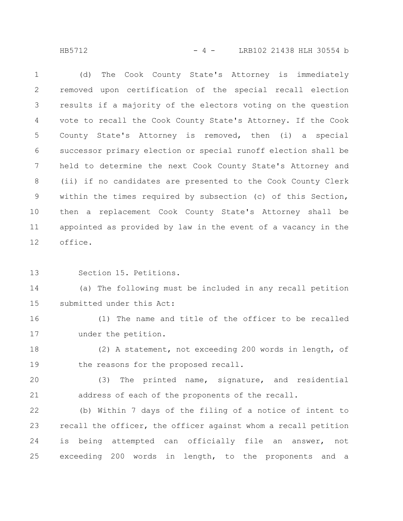### HB5712 - 4 - LRB102 21438 HLH 30554 b

(d) The Cook County State's Attorney is immediately removed upon certification of the special recall election results if a majority of the electors voting on the question vote to recall the Cook County State's Attorney. If the Cook County State's Attorney is removed, then (i) a special successor primary election or special runoff election shall be held to determine the next Cook County State's Attorney and (ii) if no candidates are presented to the Cook County Clerk within the times required by subsection (c) of this Section, then a replacement Cook County State's Attorney shall be appointed as provided by law in the event of a vacancy in the office. 1 2 3 4 5 6 7 8 9 10 11 12

Section 15. Petitions. 13

(a) The following must be included in any recall petition submitted under this Act: 14 15

(1) The name and title of the officer to be recalled under the petition. 16 17

(2) A statement, not exceeding 200 words in length, of the reasons for the proposed recall. 18 19

(3) The printed name, signature, and residential address of each of the proponents of the recall. 20 21

(b) Within 7 days of the filing of a notice of intent to recall the officer, the officer against whom a recall petition is being attempted can officially file an answer, not exceeding 200 words in length, to the proponents and a 22 23 24 25